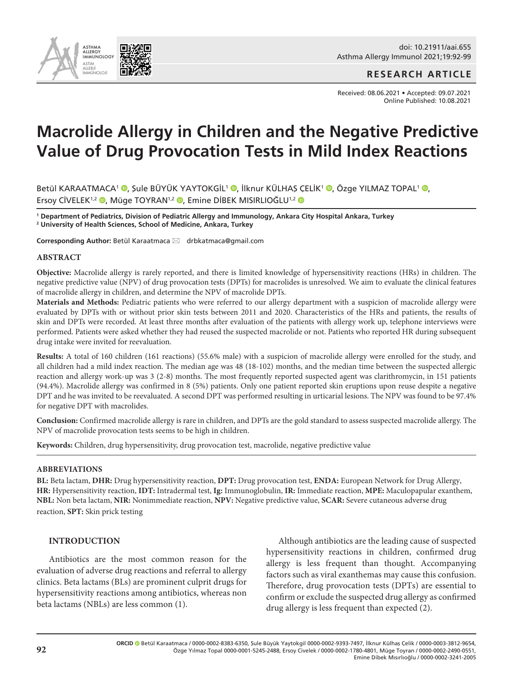

doi: 10.21911/aai.655 Asthma Allergy Immunol 2021;19:92-99

**RESEARCH ARTICLE**

Received: 08.06.2021 • Accepted: 09.07.2021 Online Published: 10.08.2021

# **Macrolide Allergy in Children and the Negative Predictive Value of Drug Provocation Tests in Mild Index Reactions**

Betül KARAATMACA<sup>1</sup> ®[,](http://orcid.org/0000-0003-3812-9654) Şule BÜYÜK YAYTOKGİL<sup>1</sup> ®, İlknur KÜLHAŞ ÇELİK<sup>1</sup> ®, Özge YILMAZ TOPAL<sup>1</sup> ®, Ersoy CİVELEK<sup>1[,](http://orcid.org/0000-0002-2490-0551)2</sup> <sup>(0</sup>, Müge TOYRAN<sup>1,2</sup> <sup>(0</sup>, Emine DİBEK MISIRLIOĞLU<sup>1,2</sup> (0

**1 Department of Pediatrics, Division of Pediatric Allergy and Immunology, Ankara City Hospital Ankara, Turkey 2 University of Health Sciences, School of Medicine, Ankara, Turkey**

Corresponding Author: Betül Karaatmaca ⊠ drbkatmaca@gmail.com

#### **ABSTRACT**

**Objective:** Macrolide allergy is rarely reported, and there is limited knowledge of hypersensitivity reactions (HRs) in children. The negative predictive value (NPV) of drug provocation tests (DPTs) for macrolides is unresolved. We aim to evaluate the clinical features of macrolide allergy in children, and determine the NPV of macrolide DPTs.

**Materials and Methods:** Pediatric patients who were referred to our allergy department with a suspicion of macrolide allergy were evaluated by DPTs with or without prior skin tests between 2011 and 2020. Characteristics of the HRs and patients, the results of skin and DPTs were recorded. At least three months after evaluation of the patients with allergy work up, telephone interviews were performed. Patients were asked whether they had reused the suspected macrolide or not. Patients who reported HR during subsequent drug intake were invited for reevaluation.

**Results:** A total of 160 children (161 reactions) (55.6% male) with a suspicion of macrolide allergy were enrolled for the study, and all children had a mild index reaction. The median age was 48 (18-102) months, and the median time between the suspected allergic reaction and allergy work-up was 3 (2-8) months. The most frequently reported suspected agent was clarithromycin, in 151 patients (94.4%). Macrolide allergy was confirmed in 8 (5%) patients. Only one patient reported skin eruptions upon reuse despite a negative DPT and he was invited to be reevaluated. A second DPT was performed resulting in urticarial lesions. The NPV was found to be 97.4% for negative DPT with macrolides.

**Conclusion:** Confirmed macrolide allergy is rare in children, and DPTs are the gold standard to assess suspected macrolide allergy. The NPV of macrolide provocation tests seems to be high in children.

**Keywords:** Children, drug hypersensitivity, drug provocation test, macrolide, negative predictive value

#### **ABBREVIATIONS**

**BL:** Beta lactam, **DHR:** Drug hypersensitivity reaction, **DPT:** Drug provocation test, **ENDA:** European Network for Drug Allergy, **HR:** Hypersensitivity reaction, **IDT:** Intradermal test, **Ig:** Immunoglobulin, **IR:** Immediate reaction, **MPE:** Maculopapular exanthem, **NBL:** Non beta lactam, **NIR:** Nonimmediate reaction, **NPV:** Negative predictive value, **SCAR:** Severe cutaneous adverse drug reaction, **SPT:** Skin prick testing

## **INTRODUCTION**

Antibiotics are the most common reason for the evaluation of adverse drug reactions and referral to allergy clinics. Beta lactams (BLs) are prominent culprit drugs for hypersensitivity reactions among antibiotics, whereas non beta lactams (NBLs) are less common (1).

Although antibiotics are the leading cause of suspected hypersensitivity reactions in children, confirmed drug allergy is less frequent than thought. Accompanying factors such as viral exanthemas may cause this confusion. Therefore, drug provocation tests (DPTs) are essential to confirm or exclude the suspected drug allergy as confirmed drug allergy is less frequent than expected (2).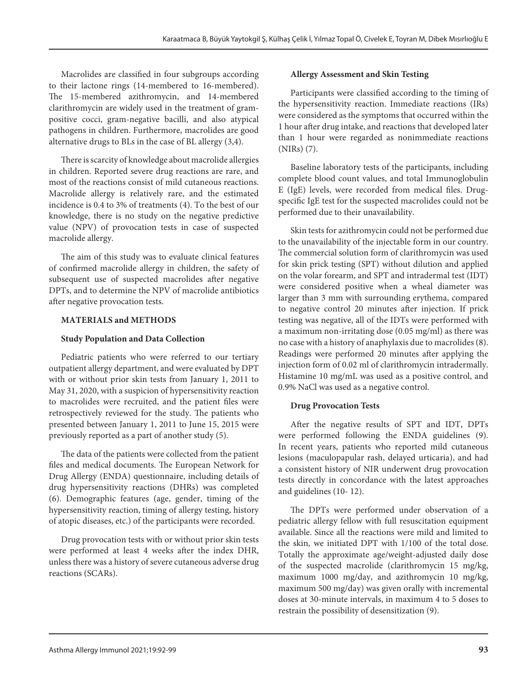Macrolides are classified in four subgroups according to their lactone rings (14-membered to 16-membered). The 15-membered azithromycin, and 14-membered clarithromycin are widely used in the treatment of grampositive cocci, gram-negative bacilli, and also atypical pathogens in children. Furthermore, macrolides are good alternative drugs to BLs in the case of BL allergy (3,4).

There is scarcity of knowledge about macrolide allergies in children. Reported severe drug reactions are rare, and most of the reactions consist of mild cutaneous reactions. Macrolide allergy is relatively rare, and the estimated incidence is 0.4 to 3% of treatments (4). To the best of our knowledge, there is no study on the negative predictive value (NPV) of provocation tests in case of suspected macrolide allergy.

The aim of this study was to evaluate clinical features of confirmed macrolide allergy in children, the safety of subsequent use of suspected macrolides after negative DPTs, and to determine the NPV of macrolide antibiotics after negative provocation tests.

# **MATERIALS and METHODS**

# **Study Population and Data Collection**

Pediatric patients who were referred to our tertiary outpatient allergy department, and were evaluated by DPT with or without prior skin tests from January 1, 2011 to May 31, 2020, with a suspicion of hypersensitivity reaction to macrolides were recruited, and the patient files were retrospectively reviewed for the study. The patients who presented between January 1, 2011 to June 15, 2015 were previously reported as a part of another study (5).

The data of the patients were collected from the patient files and medical documents. The European Network for Drug Allergy (ENDA) questionnaire, including details of drug hypersensitivity reactions (DHRs) was completed (6). Demographic features (age, gender, timing of the hypersensitivity reaction, timing of allergy testing, history of atopic diseases, etc.) of the participants were recorded.

Drug provocation tests with or without prior skin tests were performed at least 4 weeks after the index DHR, unless there was a history of severe cutaneous adverse drug reactions (SCARs).

# **Allergy Assessment and Skin Testing**

Participants were classified according to the timing of the hypersensitivity reaction. Immediate reactions (IRs) were considered as the symptoms that occurred within the 1 hour after drug intake, and reactions that developed later than 1 hour were regarded as nonimmediate reactions (NIRs) (7).

Baseline laboratory tests of the participants, including complete blood count values, and total Immunoglobulin E (IgE) levels, were recorded from medical files. Drugspecific IgE test for the suspected macrolides could not be performed due to their unavailability.

Skin tests for azithromycin could not be performed due to the unavailability of the injectable form in our country. The commercial solution form of clarithromycin was used for skin prick testing (SPT) without dilution and applied on the volar forearm, and SPT and intradermal test (IDT) were considered positive when a wheal diameter was larger than 3 mm with surrounding erythema, compared to negative control 20 minutes after injection. If prick testing was negative, all of the IDTs were performed with a maximum non-irritating dose (0.05 mg/ml) as there was no case with a history of anaphylaxis due to macrolides(8). Readings were performed 20 minutes after applying the injection form of 0.02 ml of clarithromycin intradermally. Histamine 10 mg/mL was used as a positive control, and 0.9% NaCl was used as a negative control.

# **Drug Provocation Tests**

After the negative results of SPT and IDT, DPTs were performed following the ENDA guidelines (9). In recent years, patients who reported mild cutaneous lesions (maculopapular rash, delayed urticaria), and had a consistent history of NIR underwent drug provocation tests directly in concordance with the latest approaches and guidelines (10- 12).

The DPTs were performed under observation of a pediatric allergy fellow with full resuscitation equipment available. Since all the reactions were mild and limited to the skin, we initiated DPT with 1/100 of the total dose. Totally the approximate age/weight-adjusted daily dose of the suspected macrolide (clarithromycin 15 mg/kg, maximum 1000 mg/day, and azithromycin 10 mg/kg, maximum 500 mg/day) was given orally with incremental doses at 30-minute intervals, in maximum 4 to 5 doses to restrain the possibility of desensitization (9).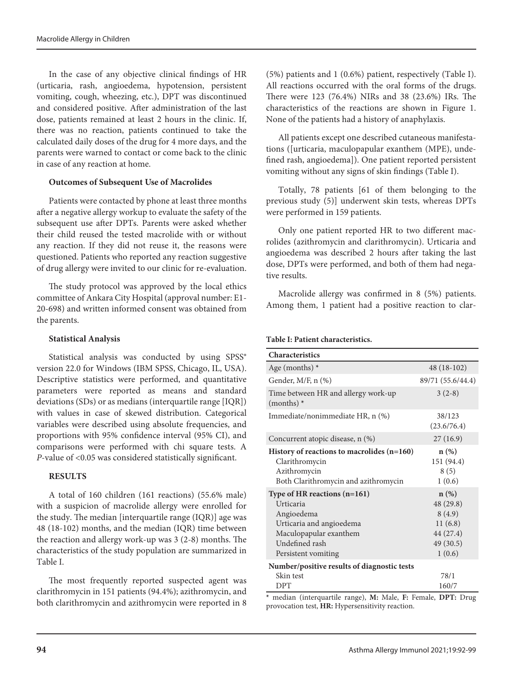In the case of any objective clinical findings of HR (urticaria, rash, angioedema, hypotension, persistent vomiting, cough, wheezing, etc.), DPT was discontinued and considered positive. After administration of the last dose, patients remained at least 2 hours in the clinic. If, there was no reaction, patients continued to take the calculated daily doses of the drug for 4 more days, and the parents were warned to contact or come back to the clinic in case of any reaction at home.

## **Outcomes of Subsequent Use of Macrolides**

Patients were contacted by phone at least three months after a negative allergy workup to evaluate the safety of the subsequent use after DPTs. Parents were asked whether their child reused the tested macrolide with or without any reaction. If they did not reuse it, the reasons were questioned. Patients who reported any reaction suggestive of drug allergy were invited to our clinic for re-evaluation.

The study protocol was approved by the local ethics committee of Ankara City Hospital (approval number: E1- 20-698) and written informed consent was obtained from the parents.

#### **Statistical Analysis**

Statistical analysis was conducted by using SPSS® version 22.0 for Windows (IBM SPSS, Chicago, IL, USA). Descriptive statistics were performed, and quantitative parameters were reported as means and standard deviations (SDs) or as medians (interquartile range [IQR]) with values in case of skewed distribution. Categorical variables were described using absolute frequencies, and proportions with 95% confidence interval (95% CI), and comparisons were performed with chi square tests. A *P*-value of <0.05 was considered statistically significant.

# **RESULTS**

A total of 160 children (161 reactions) (55.6% male) with a suspicion of macrolide allergy were enrolled for the study. The median [interquartile range (IQR)] age was 48 (18-102) months, and the median (IQR) time between the reaction and allergy work-up was 3 (2-8) months. The characteristics of the study population are summarized in Table I.

The most frequently reported suspected agent was clarithromycin in 151 patients (94.4%); azithromycin, and both clarithromycin and azithromycin were reported in 8

(5%) patients and 1 (0.6%) patient, respectively (Table I). All reactions occurred with the oral forms of the drugs. There were 123 (76.4%) NIRs and 38 (23.6%) IRs. The characteristics of the reactions are shown in Figure 1. None of the patients had a history of anaphylaxis.

All patients except one described cutaneous manifestations ([urticaria, maculopapular exanthem (MPE), undefined rash, angioedema]). One patient reported persistent vomiting without any signs of skin findings (Table I).

Totally, 78 patients [61 of them belonging to the previous study (5)] underwent skin tests, whereas DPTs were performed in 159 patients.

Only one patient reported HR to two different macrolides (azithromycin and clarithromycin). Urticaria and angioedema was described 2 hours after taking the last dose, DPTs were performed, and both of them had negative results.

Macrolide allergy was confirmed in 8 (5%) patients. Among them, 1 patient had a positive reaction to clar-

#### **Table I: Patient characteristics.**

| <b>Characteristics</b>                                                                                                                                   |                                                                               |
|----------------------------------------------------------------------------------------------------------------------------------------------------------|-------------------------------------------------------------------------------|
| Age (months) $*$                                                                                                                                         | $48(18-102)$                                                                  |
| Gender, $M/F$ , n $(\%)$                                                                                                                                 | 89/71 (55.6/44.4)                                                             |
| Time between HR and allergy work-up<br>$(months)$ *                                                                                                      | $3(2-8)$                                                                      |
| Immediate/nonimmediate HR, n (%)                                                                                                                         | 38/123<br>(23.6/76.4)                                                         |
| Concurrent atopic disease, n (%)                                                                                                                         | 27(16.9)                                                                      |
| History of reactions to macrolides $(n=160)$<br>Clarithromycin<br>Azithromycin<br>Both Clarithromycin and azithromycin                                   | n(%)<br>151 (94.4)<br>8(5)<br>1(0.6)                                          |
| Type of HR reactions $(n=161)$<br>Urticaria<br>Angioedema<br>Urticaria and angioedema<br>Maculopapular exanthem<br>Undefined rash<br>Persistent vomiting | $n$ (%)<br>48 (29.8)<br>8(4.9)<br>11(6.8)<br>44 (27.4)<br>49 (30.5)<br>1(0.6) |
| Number/positive results of diagnostic tests<br>Skin test                                                                                                 | 78/1                                                                          |
| <b>DPT</b>                                                                                                                                               | 160/7                                                                         |

**\*** median (interquartile range), **M:** Male, **F:** Female, **DPT:** Drug provocation test, **HR:** Hypersensitivity reaction.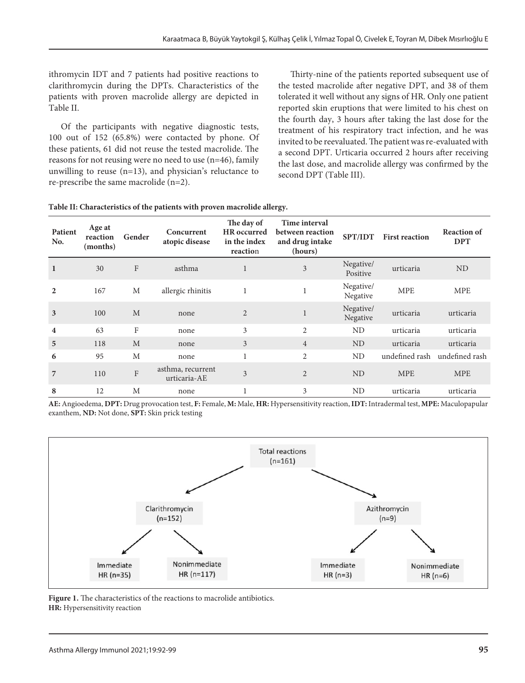ithromycin IDT and 7 patients had positive reactions to clarithromycin during the DPTs. Characteristics of the patients with proven macrolide allergy are depicted in Table II.

Of the participants with negative diagnostic tests, 100 out of 152 (65.8%) were contacted by phone. Of these patients, 61 did not reuse the tested macrolide. The reasons for not reusing were no need to use (n=46), family unwilling to reuse (n=13), and physician's reluctance to re-prescribe the same macrolide (n=2).

Thirty-nine of the patients reported subsequent use of the tested macrolide after negative DPT, and 38 of them tolerated it well without any signs of HR. Only one patient reported skin eruptions that were limited to his chest on the fourth day, 3 hours after taking the last dose for the treatment of his respiratory tract infection, and he was invited to be reevaluated. The patient was re-evaluated with a second DPT. Urticaria occurred 2 hours after receiving the last dose, and macrolide allergy was confirmed by the second DPT (Table III).

| Patient<br>No.          | Age at<br>reaction<br>(months) | Gender                    | Concurrent<br>atopic disease      | The day of<br>HR occurred<br>in the index<br>reaction | Time interval<br>between reaction<br>and drug intake<br>(hours) | <b>SPT/IDT</b>        | <b>First reaction</b> | <b>Reaction of</b><br><b>DPT</b> |
|-------------------------|--------------------------------|---------------------------|-----------------------------------|-------------------------------------------------------|-----------------------------------------------------------------|-----------------------|-----------------------|----------------------------------|
| $\mathbf{1}$            | 30                             | $\mathbf F$               | asthma                            |                                                       | 3                                                               | Negative/<br>Positive | urticaria             | N <sub>D</sub>                   |
| $\overline{2}$          | 167                            | M                         | allergic rhinitis                 | $\mathbf{1}$                                          | 1                                                               | Negative/<br>Negative | <b>MPE</b>            | <b>MPE</b>                       |
| 3                       | 100                            | M                         | none                              | $\overline{2}$                                        | $\mathbf{1}$                                                    | Negative/<br>Negative | urticaria             | urticaria                        |
| $\overline{\mathbf{4}}$ | 63                             | F                         | none                              | 3                                                     | $\overline{2}$                                                  | ND                    | urticaria             | urticaria                        |
| 5                       | 118                            | M                         | none                              | 3                                                     | $\overline{4}$                                                  | N <sub>D</sub>        | urticaria             | urticaria                        |
| 6                       | 95                             | M                         | none                              |                                                       | 2                                                               | ND                    | undefined rash        | undefined rash                   |
| $\overline{7}$          | 110                            | $\boldsymbol{\mathrm{F}}$ | asthma, recurrent<br>urticaria-AE | 3                                                     | $\overline{2}$                                                  | <b>ND</b>             | <b>MPE</b>            | <b>MPE</b>                       |
| 8                       | 12                             | M                         | none                              |                                                       | 3                                                               | ND                    | urticaria             | urticaria                        |

**Table II: Characteristics of the patients with proven macrolide allergy.**

**AE:** Angioedema, **DPT:** Drug provocation test, **F:** Female, **M:** Male, **HR:** Hypersensitivity reaction, **IDT:** Intradermal test, **MPE:** Maculopapular exanthem, **ND:** Not done, **SPT:** Skin prick testing



**Figure 1.** The characteristics of the reactions to macrolide antibiotics. **HR:** Hypersensitivity reaction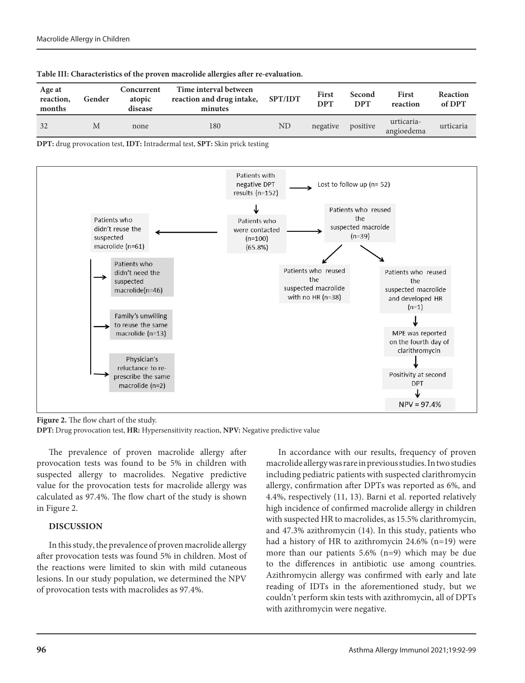| Age at<br>reaction,<br>months | Gender | Concurrent<br>atopic<br>disease | Time interval between<br>reaction and drug intake,<br>minutes | <b>SPT/IDT</b> | <b>First</b><br><b>DPT</b> | Second<br><b>DPT</b> | <b>First</b><br>reaction | Reaction<br>of DPT |
|-------------------------------|--------|---------------------------------|---------------------------------------------------------------|----------------|----------------------------|----------------------|--------------------------|--------------------|
| 32                            | Μ      | none                            | 180                                                           | ND             | negative                   | positive             | urticaria-<br>angioedema | urticaria          |

|  |  |  | Table III: Characteristics of the proven macrolide allergies after re-evaluation. |  |
|--|--|--|-----------------------------------------------------------------------------------|--|
|--|--|--|-----------------------------------------------------------------------------------|--|

**DPT:** drug provocation test, **IDT:** Intradermal test, **SPT:** Skin prick testing



**Figure 2.** The flow chart of the study.

**DPT:** Drug provocation test, **HR:** Hypersensitivity reaction, **NPV:** Negative predictive value

The prevalence of proven macrolide allergy after provocation tests was found to be 5% in children with suspected allergy to macrolides. Negative predictive value for the provocation tests for macrolide allergy was calculated as 97.4%. The flow chart of the study is shown in Figure 2.

# **DISCUSSION**

In this study, the prevalence of proven macrolide allergy after provocation tests was found 5% in children. Most of the reactions were limited to skin with mild cutaneous lesions. In our study population, we determined the NPV of provocation tests with macrolides as 97.4%.

In accordance with our results, frequency of proven macrolide allergy was rare in previous studies. In two studies including pediatric patients with suspected clarithromycin allergy, confirmation after DPTs was reported as 6%, and 4.4%, respectively (11, 13). Barni et al. reported relatively high incidence of confirmed macrolide allergy in children with suspected HR to macrolides, as 15.5% clarithromycin, and 47.3% azithromycin (14). In this study, patients who had a history of HR to azithromycin 24.6% (n=19) were more than our patients 5.6% (n=9) which may be due to the differences in antibiotic use among countries. Azithromycin allergy was confirmed with early and late reading of IDTs in the aforementioned study, but we couldn't perform skin tests with azithromycin, all of DPTs with azithromycin were negative.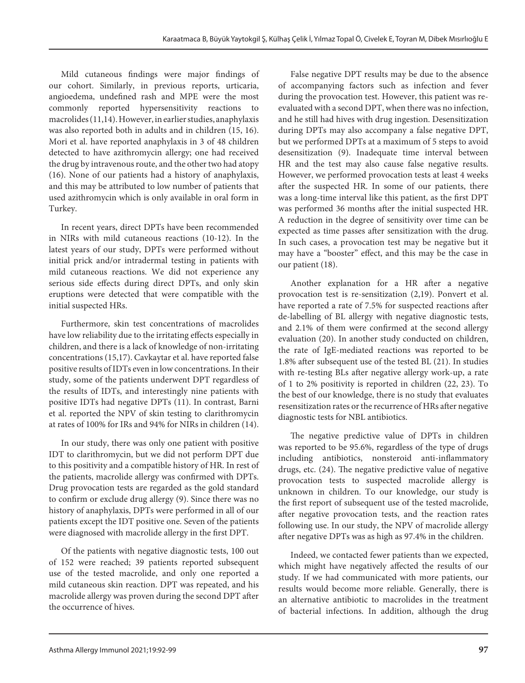Mild cutaneous findings were major findings of our cohort. Similarly, in previous reports, urticaria, angioedema, undefined rash and MPE were the most commonly reported hypersensitivity reactions to macrolides (11,14). However, in earlier studies, anaphylaxis was also reported both in adults and in children (15, 16). Mori et al. have reported anaphylaxis in 3 of 48 children detected to have azithromycin allergy; one had received the drug by intravenous route, and the other two had atopy (16). None of our patients had a history of anaphylaxis, and this may be attributed to low number of patients that used azithromycin which is only available in oral form in Turkey.

In recent years, direct DPTs have been recommended in NIRs with mild cutaneous reactions (10-12). In the latest years of our study, DPTs were performed without initial prick and/or intradermal testing in patients with mild cutaneous reactions. We did not experience any serious side effects during direct DPTs, and only skin eruptions were detected that were compatible with the initial suspected HRs.

Furthermore, skin test concentrations of macrolides have low reliability due to the irritating effects especially in children, and there is a lack of knowledge of non-irritating concentrations (15,17). Cavkaytar et al. have reported false positive results of IDTs even in low concentrations. In their study, some of the patients underwent DPT regardless of the results of IDTs, and interestingly nine patients with positive IDTs had negative DPTs (11). In contrast, Barni et al. reported the NPV of skin testing to clarithromycin at rates of 100% for IRs and 94% for NIRs in children (14).

In our study, there was only one patient with positive IDT to clarithromycin, but we did not perform DPT due to this positivity and a compatible history of HR. In rest of the patients, macrolide allergy was confirmed with DPTs. Drug provocation tests are regarded as the gold standard to confirm or exclude drug allergy (9). Since there was no history of anaphylaxis, DPTs were performed in all of our patients except the IDT positive one. Seven of the patients were diagnosed with macrolide allergy in the first DPT.

Of the patients with negative diagnostic tests, 100 out of 152 were reached; 39 patients reported subsequent use of the tested macrolide, and only one reported a mild cutaneous skin reaction. DPT was repeated, and his macrolide allergy was proven during the second DPT after the occurrence of hives.

False negative DPT results may be due to the absence of accompanying factors such as infection and fever during the provocation test. However, this patient was reevaluated with a second DPT, when there was no infection, and he still had hives with drug ingestion. Desensitization during DPTs may also accompany a false negative DPT, but we performed DPTs at a maximum of 5 steps to avoid desensitization (9). Inadequate time interval between HR and the test may also cause false negative results. However, we performed provocation tests at least 4 weeks after the suspected HR. In some of our patients, there was a long-time interval like this patient, as the first DPT was performed 36 months after the initial suspected HR. A reduction in the degree of sensitivity over time can be expected as time passes after sensitization with the drug. In such cases, a provocation test may be negative but it may have a "booster" effect, and this may be the case in our patient (18).

Another explanation for a HR after a negative provocation test is re-sensitization (2,19). Ponvert et al. have reported a rate of 7.5% for suspected reactions after de-labelling of BL allergy with negative diagnostic tests, and 2.1% of them were confirmed at the second allergy evaluation (20). In another study conducted on children, the rate of IgE-mediated reactions was reported to be 1.8% after subsequent use of the tested BL (21). In studies with re-testing BLs after negative allergy work-up, a rate of 1 to 2% positivity is reported in children (22, 23). To the best of our knowledge, there is no study that evaluates resensitization rates or the recurrence of HRs after negative diagnostic tests for NBL antibiotics.

The negative predictive value of DPTs in children was reported to be 95.6%, regardless of the type of drugs including antibiotics, nonsteroid anti-inflammatory drugs, etc. (24). The negative predictive value of negative provocation tests to suspected macrolide allergy is unknown in children. To our knowledge, our study is the first report of subsequent use of the tested macrolide, after negative provocation tests, and the reaction rates following use. In our study, the NPV of macrolide allergy after negative DPTs was as high as 97.4% in the children.

Indeed, we contacted fewer patients than we expected, which might have negatively affected the results of our study. If we had communicated with more patients, our results would become more reliable. Generally, there is an alternative antibiotic to macrolides in the treatment of bacterial infections. In addition, although the drug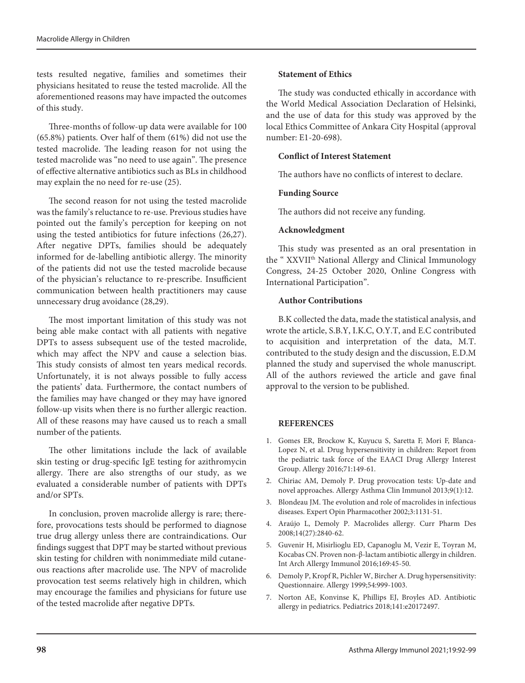tests resulted negative, families and sometimes their physicians hesitated to reuse the tested macrolide. All the aforementioned reasons may have impacted the outcomes of this study.

Three-months of follow-up data were available for 100 (65.8%) patients. Over half of them (61%) did not use the tested macrolide. The leading reason for not using the tested macrolide was "no need to use again". The presence of effective alternative antibiotics such as BLs in childhood may explain the no need for re-use (25).

The second reason for not using the tested macrolide was the family's reluctance to re-use. Previous studies have pointed out the family's perception for keeping on not using the tested antibiotics for future infections (26,27). After negative DPTs, families should be adequately informed for de-labelling antibiotic allergy. The minority of the patients did not use the tested macrolide because of the physician's reluctance to re-prescribe. Insufficient communication between health practitioners may cause unnecessary drug avoidance (28,29).

The most important limitation of this study was not being able make contact with all patients with negative DPTs to assess subsequent use of the tested macrolide, which may affect the NPV and cause a selection bias. This study consists of almost ten years medical records. Unfortunately, it is not always possible to fully access the patients' data. Furthermore, the contact numbers of the families may have changed or they may have ignored follow-up visits when there is no further allergic reaction. All of these reasons may have caused us to reach a small number of the patients.

The other limitations include the lack of available skin testing or drug-specific IgE testing for azithromycin allergy. There are also strengths of our study, as we evaluated a considerable number of patients with DPTs and/or SPTs.

In conclusion, proven macrolide allergy is rare; therefore, provocations tests should be performed to diagnose true drug allergy unless there are contraindications. Our findings suggest that DPT may be started without previous skin testing for children with nonimmediate mild cutaneous reactions after macrolide use. The NPV of macrolide provocation test seems relatively high in children, which may encourage the families and physicians for future use of the tested macrolide after negative DPTs.

# **Statement of Ethics**

The study was conducted ethically in accordance with the World Medical Association Declaration of Helsinki, and the use of data for this study was approved by the local Ethics Committee of Ankara City Hospital (approval number: E1-20-698).

### **Conflict of Interest Statement**

The authors have no conflicts of interest to declare.

#### **Funding Source**

The authors did not receive any funding.

## **Acknowledgment**

This study was presented as an oral presentation in the "XXVII<sup>th</sup> National Allergy and Clinical Immunology Congress, 24-25 October 2020, Online Congress with International Participation".

## **Author Contributions**

B.K collected the data, made the statistical analysis, and wrote the article, S.B.Y, I.K.C, O.Y.T, and E.C contributed to acquisition and interpretation of the data, M.T. contributed to the study design and the discussion, E.D.M planned the study and supervised the whole manuscript. All of the authors reviewed the article and gave final approval to the version to be published.

#### **REFERENCES**

- 1. Gomes ER, Brockow K, Kuyucu S, Saretta F, Mori F, Blanca-Lopez N, et al. Drug hypersensitivity in children: Report from the pediatric task force of the EAACI Drug Allergy Interest Group. Allergy 2016;71:149-61.
- 2. Chiriac AM, Demoly P. Drug provocation tests: Up-date and novel approaches. Allergy Asthma Clin Immunol 2013;9(1):12.
- 3. Blondeau JM. The evolution and role of macrolides in infectious diseases. Expert Opin Pharmacother 2002;3:1131-51.
- 4. Araújo L, Demoly P. Macrolides allergy. Curr Pharm Des 2008;14(27):2840-62.
- 5. Guvenir H, Misirlioglu ED, Capanoglu M, Vezir E, Toyran M, Kocabas CN. Proven non-β-lactam antibiotic allergy in children. Int Arch Allergy Immunol 2016;169:45-50.
- 6. Demoly P, Kropf R, Pichler W, Bircher A. Drug hypersensitivity: Questionnaire. Allergy 1999;54:999-1003.
- 7. Norton AE, Konvinse K, Phillips EJ, Broyles AD. Antibiotic allergy in pediatrics. Pediatrics 2018;141:e20172497.